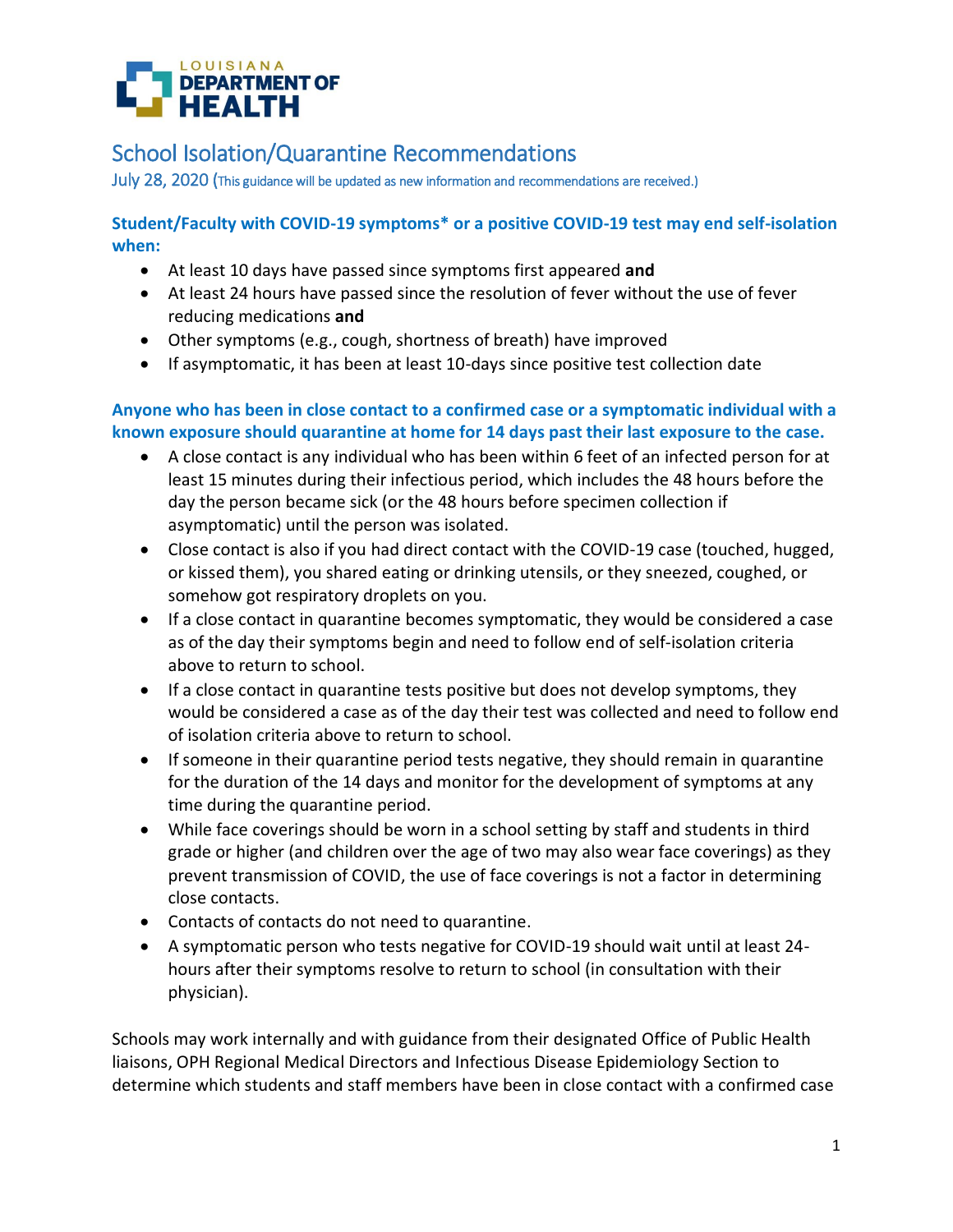

July 28, 2020 (This guidance will be updated as new information and recommendations are received.)

**Student/Faculty with COVID-19 symptoms\* or a positive COVID-19 test may end self-isolation when:**

- At least 10 days have passed since symptoms first appeared **and**
- At least 24 hours have passed since the resolution of fever without the use of fever reducing medications **and**
- Other symptoms (e.g., cough, shortness of breath) have improved
- If asymptomatic, it has been at least 10-days since positive test collection date

## **Anyone who has been in close contact to a confirmed case or a symptomatic individual with a known exposure should quarantine at home for 14 days past their last exposure to the case.**

- A close contact is any individual who has been within 6 feet of an infected person for at least 15 minutes during their infectious period, which includes the 48 hours before the day the person became sick (or the 48 hours before specimen collection if asymptomatic) until the person was isolated.
- Close contact is also if you had direct contact with the COVID-19 case (touched, hugged, or kissed them), you shared eating or drinking utensils, or they sneezed, coughed, or somehow got respiratory droplets on you.
- If a close contact in quarantine becomes symptomatic, they would be considered a case as of the day their symptoms begin and need to follow end of self-isolation criteria above to return to school.
- If a close contact in quarantine tests positive but does not develop symptoms, they would be considered a case as of the day their test was collected and need to follow end of isolation criteria above to return to school.
- If someone in their quarantine period tests negative, they should remain in quarantine for the duration of the 14 days and monitor for the development of symptoms at any time during the quarantine period.
- While face coverings should be worn in a school setting by staff and students in third grade or higher (and children over the age of two may also wear face coverings) as they prevent transmission of COVID, the use of face coverings is not a factor in determining close contacts.
- Contacts of contacts do not need to quarantine.
- A symptomatic person who tests negative for COVID-19 should wait until at least 24 hours after their symptoms resolve to return to school (in consultation with their physician).

Schools may work internally and with guidance from their designated Office of Public Health liaisons, OPH Regional Medical Directors and Infectious Disease Epidemiology Section to determine which students and staff members have been in close contact with a confirmed case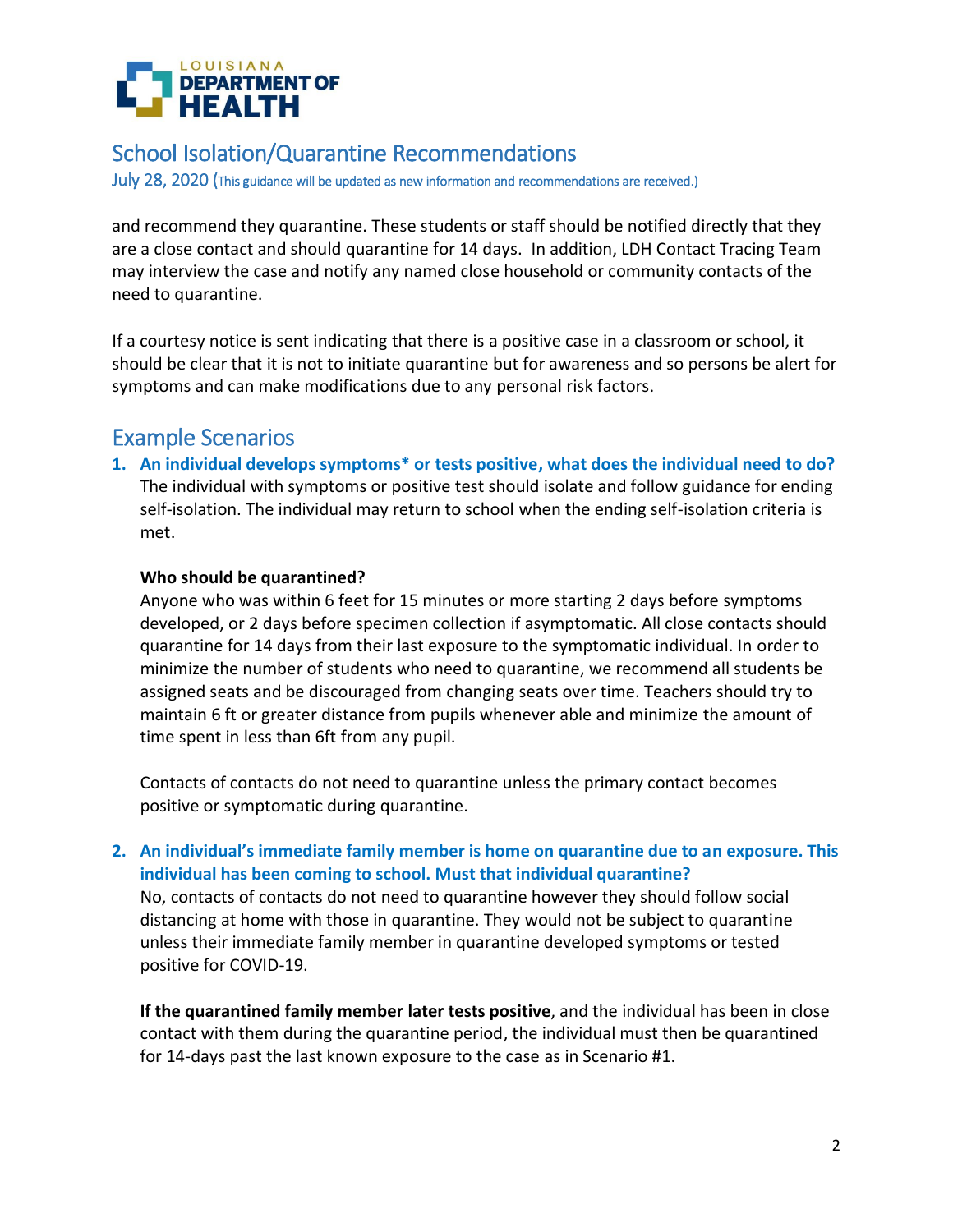

July 28, 2020 (This guidance will be updated as new information and recommendations are received.)

and recommend they quarantine. These students or staff should be notified directly that they are a close contact and should quarantine for 14 days. In addition, LDH Contact Tracing Team may interview the case and notify any named close household or community contacts of the need to quarantine.

If a courtesy notice is sent indicating that there is a positive case in a classroom or school, it should be clear that it is not to initiate quarantine but for awareness and so persons be alert for symptoms and can make modifications due to any personal risk factors.

# Example Scenarios

**1. An individual develops symptoms\* or tests positive, what does the individual need to do?** The individual with symptoms or positive test should isolate and follow guidance for ending self-isolation. The individual may return to school when the ending self-isolation criteria is met.

## **Who should be quarantined?**

Anyone who was within 6 feet for 15 minutes or more starting 2 days before symptoms developed, or 2 days before specimen collection if asymptomatic. All close contacts should quarantine for 14 days from their last exposure to the symptomatic individual. In order to minimize the number of students who need to quarantine, we recommend all students be assigned seats and be discouraged from changing seats over time. Teachers should try to maintain 6 ft or greater distance from pupils whenever able and minimize the amount of time spent in less than 6ft from any pupil.

Contacts of contacts do not need to quarantine unless the primary contact becomes positive or symptomatic during quarantine.

## **2. An individual's immediate family member is home on quarantine due to an exposure. This individual has been coming to school. Must that individual quarantine?**

No, contacts of contacts do not need to quarantine however they should follow social distancing at home with those in quarantine. They would not be subject to quarantine unless their immediate family member in quarantine developed symptoms or tested positive for COVID-19.

**If the quarantined family member later tests positive**, and the individual has been in close contact with them during the quarantine period, the individual must then be quarantined for 14-days past the last known exposure to the case as in Scenario #1.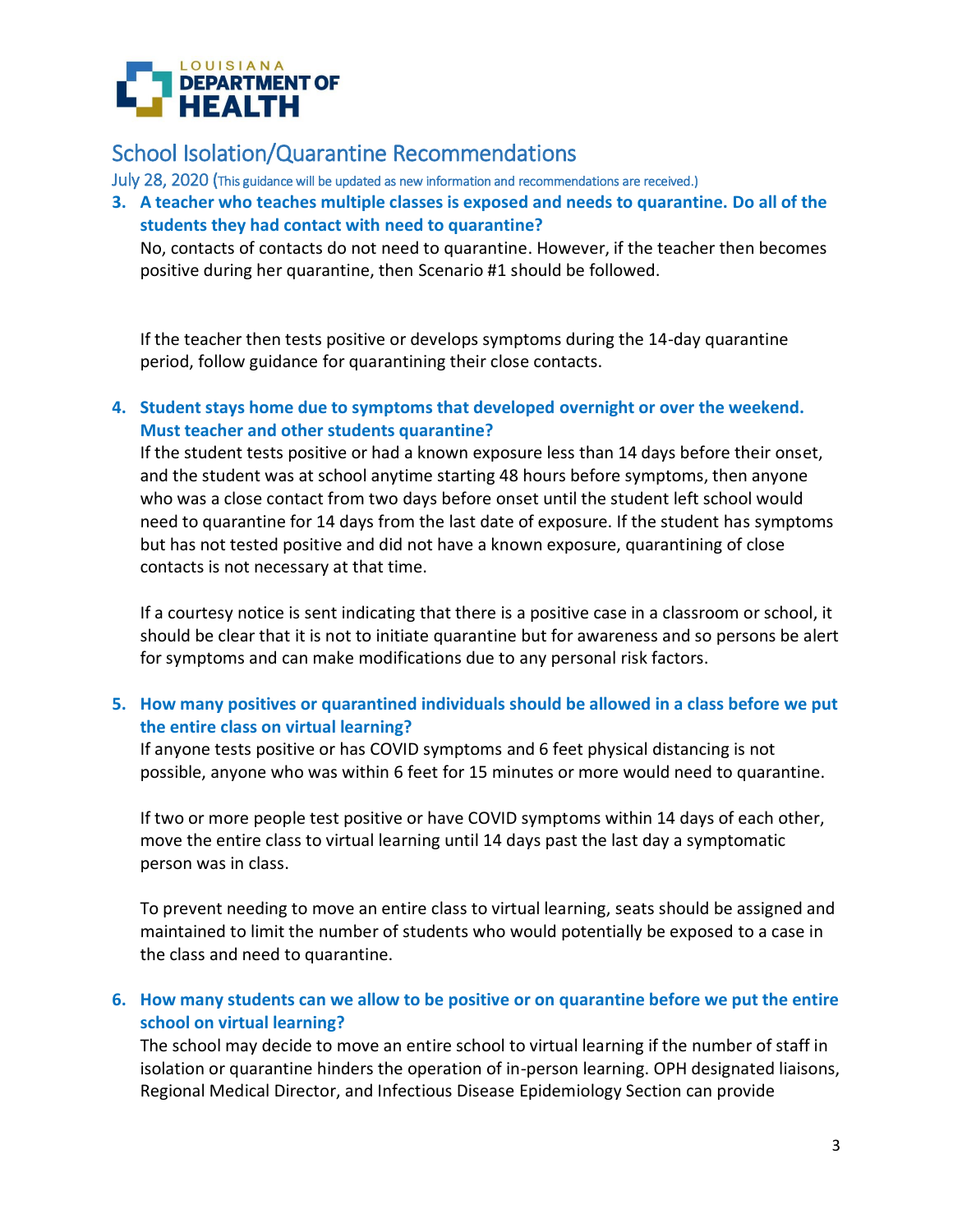

July 28, 2020 (This guidance will be updated as new information and recommendations are received.)

**3. A teacher who teaches multiple classes is exposed and needs to quarantine. Do all of the students they had contact with need to quarantine?**

No, contacts of contacts do not need to quarantine. However, if the teacher then becomes positive during her quarantine, then Scenario #1 should be followed.

If the teacher then tests positive or develops symptoms during the 14-day quarantine period, follow guidance for quarantining their close contacts.

## **4. Student stays home due to symptoms that developed overnight or over the weekend. Must teacher and other students quarantine?**

If the student tests positive or had a known exposure less than 14 days before their onset, and the student was at school anytime starting 48 hours before symptoms, then anyone who was a close contact from two days before onset until the student left school would need to quarantine for 14 days from the last date of exposure. If the student has symptoms but has not tested positive and did not have a known exposure, quarantining of close contacts is not necessary at that time.

If a courtesy notice is sent indicating that there is a positive case in a classroom or school, it should be clear that it is not to initiate quarantine but for awareness and so persons be alert for symptoms and can make modifications due to any personal risk factors.

## **5. How many positives or quarantined individuals should be allowed in a class before we put the entire class on virtual learning?**

If anyone tests positive or has COVID symptoms and 6 feet physical distancing is not possible, anyone who was within 6 feet for 15 minutes or more would need to quarantine.

If two or more people test positive or have COVID symptoms within 14 days of each other, move the entire class to virtual learning until 14 days past the last day a symptomatic person was in class.

To prevent needing to move an entire class to virtual learning, seats should be assigned and maintained to limit the number of students who would potentially be exposed to a case in the class and need to quarantine.

## **6. How many students can we allow to be positive or on quarantine before we put the entire school on virtual learning?**

The school may decide to move an entire school to virtual learning if the number of staff in isolation or quarantine hinders the operation of in-person learning. OPH designated liaisons, Regional Medical Director, and Infectious Disease Epidemiology Section can provide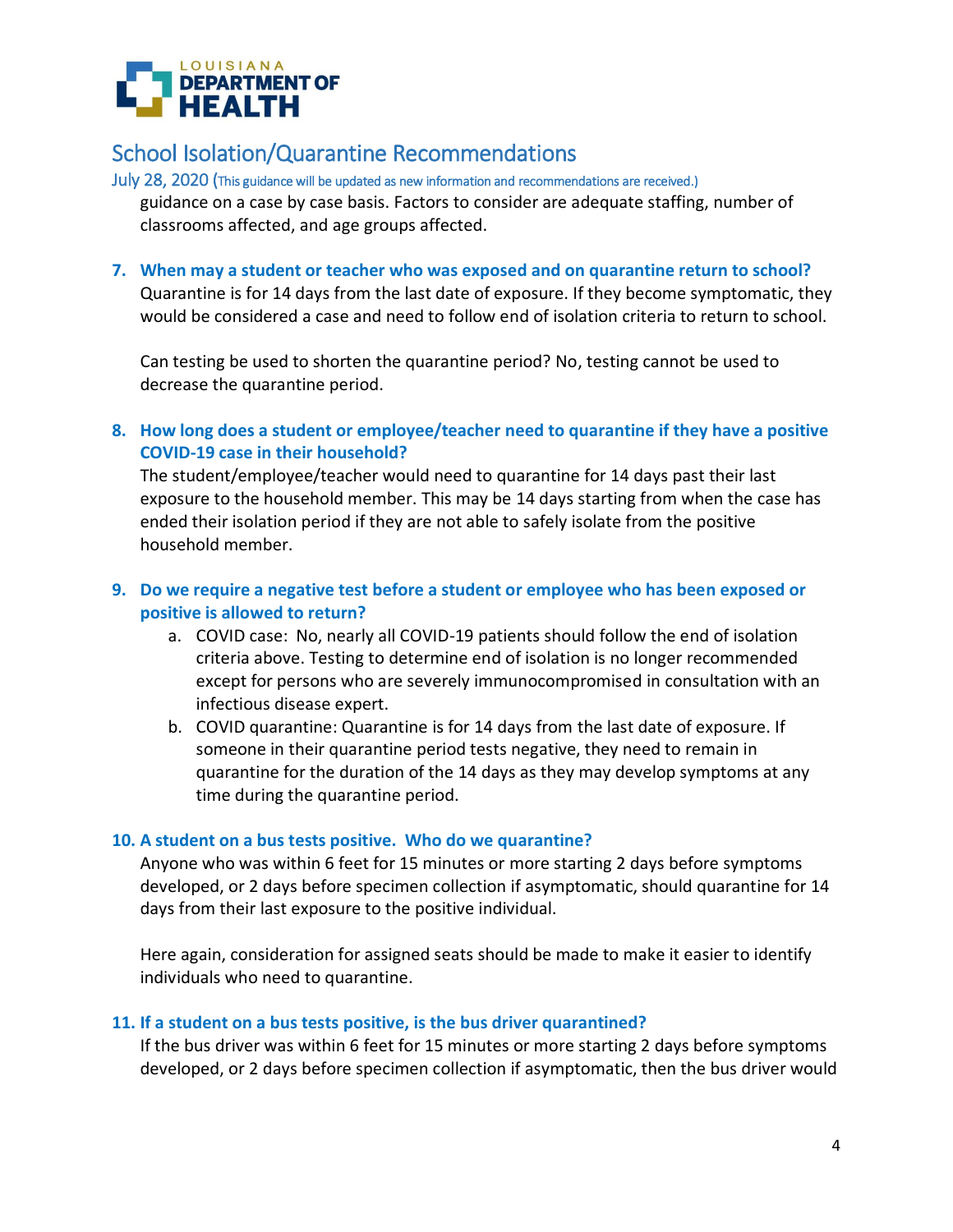

July 28, 2020 (This guidance will be updated as new information and recommendations are received.) guidance on a case by case basis. Factors to consider are adequate staffing, number of classrooms affected, and age groups affected.

#### **7. When may a student or teacher who was exposed and on quarantine return to school?**

Quarantine is for 14 days from the last date of exposure. If they become symptomatic, they would be considered a case and need to follow end of isolation criteria to return to school.

Can testing be used to shorten the quarantine period? No, testing cannot be used to decrease the quarantine period.

**8. How long does a student or employee/teacher need to quarantine if they have a positive COVID-19 case in their household?**

The student/employee/teacher would need to quarantine for 14 days past their last exposure to the household member. This may be 14 days starting from when the case has ended their isolation period if they are not able to safely isolate from the positive household member.

## **9. Do we require a negative test before a student or employee who has been exposed or positive is allowed to return?**

- a. COVID case: No, nearly all COVID-19 patients should follow the end of isolation criteria above. Testing to determine end of isolation is no longer recommended except for persons who are severely immunocompromised in consultation with an infectious disease expert.
- b. COVID quarantine: Quarantine is for 14 days from the last date of exposure. If someone in their quarantine period tests negative, they need to remain in quarantine for the duration of the 14 days as they may develop symptoms at any time during the quarantine period.

### **10. A student on a bus tests positive. Who do we quarantine?**

Anyone who was within 6 feet for 15 minutes or more starting 2 days before symptoms developed, or 2 days before specimen collection if asymptomatic, should quarantine for 14 days from their last exposure to the positive individual.

Here again, consideration for assigned seats should be made to make it easier to identify individuals who need to quarantine.

#### **11. If a student on a bus tests positive, is the bus driver quarantined?**

If the bus driver was within 6 feet for 15 minutes or more starting 2 days before symptoms developed, or 2 days before specimen collection if asymptomatic, then the bus driver would